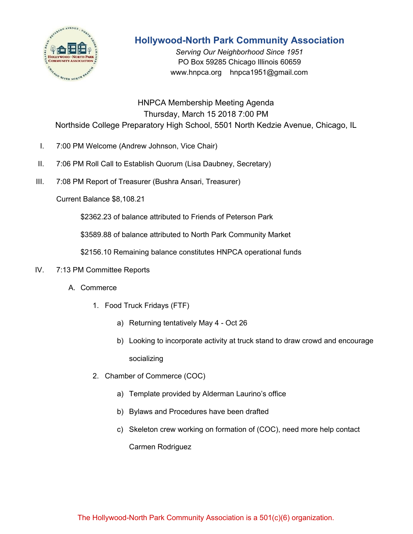

# **Hollywood-North Park Community Association**

*Serving Our Neighborhood Since 1951* PO Box 59285 Chicago Illinois 60659 www.hnpca.org hnpca1951@gmail.com

HNPCA Membership Meeting Agenda Thursday, March 15 2018 7:00 PM Northside College Preparatory High School, 5501 North Kedzie Avenue, Chicago, IL

- I. 7:00 PM Welcome (Andrew Johnson, Vice Chair)
- II. 7:06 PM Roll Call to Establish Quorum (Lisa Daubney, Secretary)
- III. 7:08 PM Report of Treasurer (Bushra Ansari, Treasurer)

Current Balance \$8,108.21

\$2362.23 of balance attributed to Friends of Peterson Park

\$3589.88 of balance attributed to North Park Community Market

\$2156.10 Remaining balance constitutes HNPCA operational funds

### IV. 7:13 PM Committee Reports

- A. Commerce
	- 1. Food Truck Fridays (FTF)
		- a) Returning tentatively May 4 Oct 26
		- b) Looking to incorporate activity at truck stand to draw crowd and encourage socializing
	- 2. Chamber of Commerce (COC)
		- a) Template provided by Alderman Laurino's office
		- b) Bylaws and Procedures have been drafted
		- c) Skeleton crew working on formation of (COC), need more help contact Carmen Rodriguez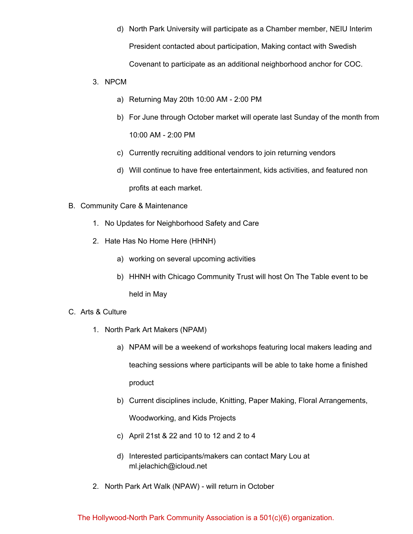d) North Park University will participate as a Chamber member, NEIU Interim President contacted about participation, Making contact with Swedish

Covenant to participate as an additional neighborhood anchor for COC.

- 3. NPCM
	- a) Returning May 20th 10:00 AM 2:00 PM
	- b) For June through October market will operate last Sunday of the month from 10:00 AM - 2:00 PM
	- c) Currently recruiting additional vendors to join returning vendors
	- d) Will continue to have free entertainment, kids activities, and featured non profits at each market.
- B. Community Care & Maintenance
	- 1. No Updates for Neighborhood Safety and Care
	- 2. Hate Has No Home Here (HHNH)
		- a) working on several upcoming activities
		- b) HHNH with Chicago Community Trust will host On The Table event to be held in May
- C. Arts & Culture
	- 1. North Park Art Makers (NPAM)
		- a) NPAM will be a weekend of workshops featuring local makers leading and teaching sessions where participants will be able to take home a finished product
		- b) Current disciplines include, Knitting, Paper Making, Floral Arrangements, Woodworking, and Kids Projects
		- c) April 21st & 22 and 10 to 12 and 2 to 4
		- d) Interested participants/makers can contact Mary Lou at ml.jelachich@icloud.net
	- 2. North Park Art Walk (NPAW) will return in October

## The Hollywood-North Park Community Association is a 501(c)(6) organization.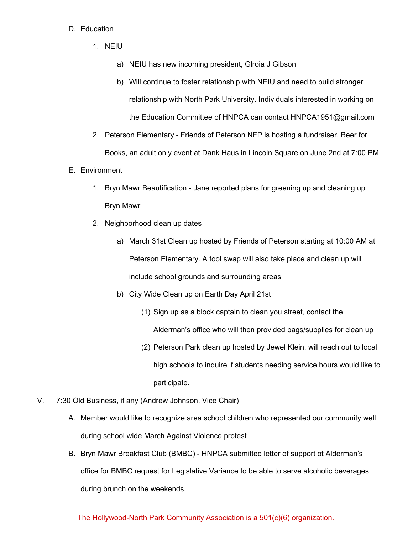#### D. Education

- 1. NEIU
	- a) NEIU has new incoming president, Glroia J Gibson
	- b) Will continue to foster relationship with NEIU and need to build stronger relationship with North Park University. Individuals interested in working on the Education Committee of HNPCA can contact HNPCA1951@gmail.com
- 2. Peterson Elementary Friends of Peterson NFP is hosting a fundraiser, Beer for Books, an adult only event at Dank Haus in Lincoln Square on June 2nd at 7:00 PM
- E. Environment
	- 1. Bryn Mawr Beautification Jane reported plans for greening up and cleaning up Bryn Mawr
	- 2. Neighborhood clean up dates
		- a) March 31st Clean up hosted by Friends of Peterson starting at 10:00 AM at Peterson Elementary. A tool swap will also take place and clean up will include school grounds and surrounding areas
		- b) City Wide Clean up on Earth Day April 21st
			- (1) Sign up as a block captain to clean you street, contact the Alderman's office who will then provided bags/supplies for clean up
			- (2) Peterson Park clean up hosted by Jewel Klein, will reach out to local high schools to inquire if students needing service hours would like to participate.
- V. 7:30 Old Business, if any (Andrew Johnson, Vice Chair)
	- A. Member would like to recognize area school children who represented our community well during school wide March Against Violence protest
	- B. Bryn Mawr Breakfast Club (BMBC) HNPCA submitted letter of support ot Alderman's office for BMBC request for Legislative Variance to be able to serve alcoholic beverages during brunch on the weekends.

### The Hollywood-North Park Community Association is a 501(c)(6) organization.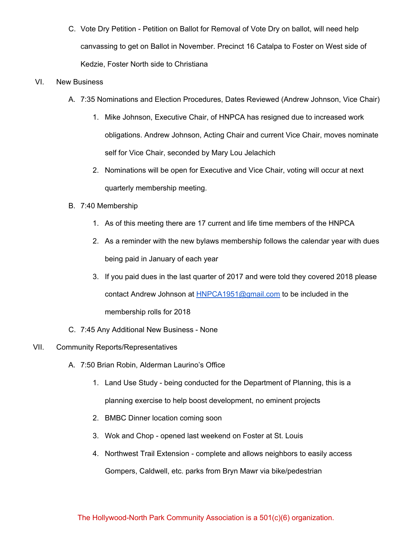C. Vote Dry Petition - Petition on Ballot for Removal of Vote Dry on ballot, will need help canvassing to get on Ballot in November. Precinct 16 Catalpa to Foster on West side of Kedzie, Foster North side to Christiana

#### VI. New Business

- A. 7:35 Nominations and Election Procedures, Dates Reviewed (Andrew Johnson, Vice Chair)
	- 1. Mike Johnson, Executive Chair, of HNPCA has resigned due to increased work obligations. Andrew Johnson, Acting Chair and current Vice Chair, moves nominate self for Vice Chair, seconded by Mary Lou Jelachich
	- 2. Nominations will be open for Executive and Vice Chair, voting will occur at next quarterly membership meeting.
- B. 7:40 Membership
	- 1. As of this meeting there are 17 current and life time members of the HNPCA
	- 2. As a reminder with the new bylaws membership follows the calendar year with dues being paid in January of each year
	- 3. If you paid dues in the last quarter of 2017 and were told they covered 2018 please contact Andrew Johnson at **[HNPCA1951@gmail.com](mailto:HNPCA1951@gmail.com)** to be included in the membership rolls for 2018
- C. 7:45 Any Additional New Business None
- VII. Community Reports/Representatives
	- A. 7:50 Brian Robin, Alderman Laurino's Office
		- 1. Land Use Study being conducted for the Department of Planning, this is a planning exercise to help boost development, no eminent projects
		- 2. BMBC Dinner location coming soon
		- 3. Wok and Chop opened last weekend on Foster at St. Louis
		- 4. Northwest Trail Extension complete and allows neighbors to easily access Gompers, Caldwell, etc. parks from Bryn Mawr via bike/pedestrian

### The Hollywood-North Park Community Association is a 501(c)(6) organization.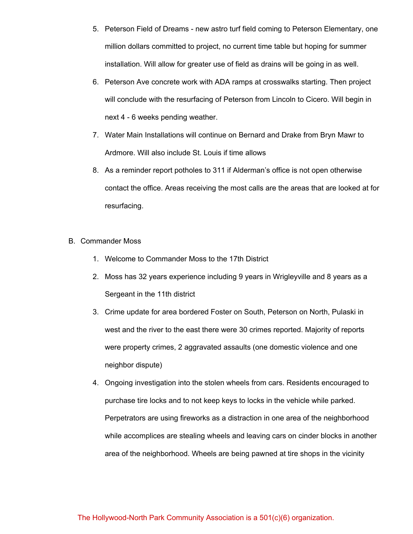- 5. Peterson Field of Dreams new astro turf field coming to Peterson Elementary, one million dollars committed to project, no current time table but hoping for summer installation. Will allow for greater use of field as drains will be going in as well.
- 6. Peterson Ave concrete work with ADA ramps at crosswalks starting. Then project will conclude with the resurfacing of Peterson from Lincoln to Cicero. Will begin in next 4 - 6 weeks pending weather.
- 7. Water Main Installations will continue on Bernard and Drake from Bryn Mawr to Ardmore. Will also include St. Louis if time allows
- 8. As a reminder report potholes to 311 if Alderman's office is not open otherwise contact the office. Areas receiving the most calls are the areas that are looked at for resurfacing.
- B. Commander Moss
	- 1. Welcome to Commander Moss to the 17th District
	- 2. Moss has 32 years experience including 9 years in Wrigleyville and 8 years as a Sergeant in the 11th district
	- 3. Crime update for area bordered Foster on South, Peterson on North, Pulaski in west and the river to the east there were 30 crimes reported. Majority of reports were property crimes, 2 aggravated assaults (one domestic violence and one neighbor dispute)
	- 4. Ongoing investigation into the stolen wheels from cars. Residents encouraged to purchase tire locks and to not keep keys to locks in the vehicle while parked. Perpetrators are using fireworks as a distraction in one area of the neighborhood while accomplices are stealing wheels and leaving cars on cinder blocks in another area of the neighborhood. Wheels are being pawned at tire shops in the vicinity